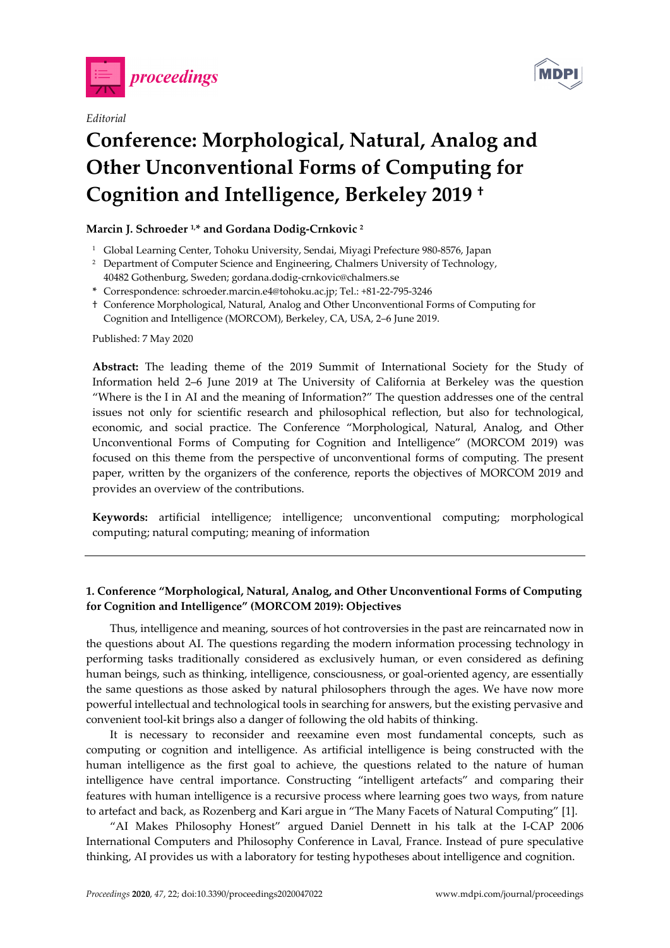

*Editorial* 



# **Conference: Morphological, Natural, Analog and Other Unconventional Forms of Computing for Cognition and Intelligence, Berkeley 2019 †**

## **Marcin J. Schroeder 1,\* and Gordana Dodig-Crnkovic 2**

- <sup>1</sup> Global Learning Center, Tohoku University, Sendai, Miyagi Prefecture 980-8576, Japan
- <sup>2</sup> Department of Computer Science and Engineering, Chalmers University of Technology,
- 40482 Gothenburg, Sweden; gordana.dodig-crnkovic@chalmers.se
- **\*** Correspondence: schroeder.marcin.e4@tohoku.ac.jp; Tel.: +81-22-795-3246
- † Conference Morphological, Natural, Analog and Other Unconventional Forms of Computing for Cognition and Intelligence (MORCOM), Berkeley, CA, USA, 2–6 June 2019.

### Published: 7 May 2020

**Abstract:** The leading theme of the 2019 Summit of International Society for the Study of Information held 2–6 June 2019 at The University of California at Berkeley was the question "Where is the I in AI and the meaning of Information?" The question addresses one of the central issues not only for scientific research and philosophical reflection, but also for technological, economic, and social practice. The Conference "Morphological, Natural, Analog, and Other Unconventional Forms of Computing for Cognition and Intelligence" (MORCOM 2019) was focused on this theme from the perspective of unconventional forms of computing. The present paper, written by the organizers of the conference, reports the objectives of MORCOM 2019 and provides an overview of the contributions.

**Keywords:** artificial intelligence; intelligence; unconventional computing; morphological computing; natural computing; meaning of information

# **1. Conference "Morphological, Natural, Analog, and Other Unconventional Forms of Computing for Cognition and Intelligence" (MORCOM 2019): Objectives**

Thus, intelligence and meaning, sources of hot controversies in the past are reincarnated now in the questions about AI. The questions regarding the modern information processing technology in performing tasks traditionally considered as exclusively human, or even considered as defining human beings, such as thinking, intelligence, consciousness, or goal-oriented agency, are essentially the same questions as those asked by natural philosophers through the ages. We have now more powerful intellectual and technological tools in searching for answers, but the existing pervasive and convenient tool-kit brings also a danger of following the old habits of thinking.

It is necessary to reconsider and reexamine even most fundamental concepts, such as computing or cognition and intelligence. As artificial intelligence is being constructed with the human intelligence as the first goal to achieve, the questions related to the nature of human intelligence have central importance. Constructing "intelligent artefacts" and comparing their features with human intelligence is a recursive process where learning goes two ways, from nature to artefact and back, as Rozenberg and Kari argue in "The Many Facets of Natural Computing" [1].

"AI Makes Philosophy Honest" argued Daniel Dennett in his talk at the I-CAP 2006 International Computers and Philosophy Conference in Laval, France. Instead of pure speculative thinking, AI provides us with a laboratory for testing hypotheses about intelligence and cognition.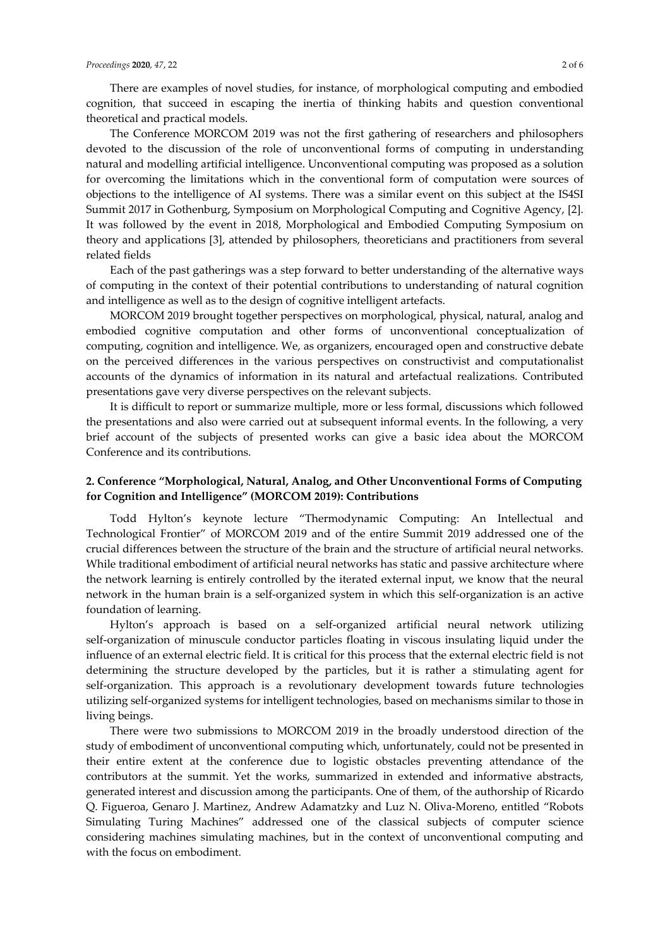There are examples of novel studies, for instance, of morphological computing and embodied cognition, that succeed in escaping the inertia of thinking habits and question conventional theoretical and practical models.

The Conference MORCOM 2019 was not the first gathering of researchers and philosophers devoted to the discussion of the role of unconventional forms of computing in understanding natural and modelling artificial intelligence. Unconventional computing was proposed as a solution for overcoming the limitations which in the conventional form of computation were sources of objections to the intelligence of AI systems. There was a similar event on this subject at the IS4SI Summit 2017 in Gothenburg, Symposium on Morphological Computing and Cognitive Agency, [2]. It was followed by the event in 2018, Morphological and Embodied Computing Symposium on theory and applications [3], attended by philosophers, theoreticians and practitioners from several related fields

Each of the past gatherings was a step forward to better understanding of the alternative ways of computing in the context of their potential contributions to understanding of natural cognition and intelligence as well as to the design of cognitive intelligent artefacts.

MORCOM 2019 brought together perspectives on morphological, physical, natural, analog and embodied cognitive computation and other forms of unconventional conceptualization of computing, cognition and intelligence. We, as organizers, encouraged open and constructive debate on the perceived differences in the various perspectives on constructivist and computationalist accounts of the dynamics of information in its natural and artefactual realizations. Contributed presentations gave very diverse perspectives on the relevant subjects.

It is difficult to report or summarize multiple, more or less formal, discussions which followed the presentations and also were carried out at subsequent informal events. In the following, a very brief account of the subjects of presented works can give a basic idea about the MORCOM Conference and its contributions.

## **2. Conference "Morphological, Natural, Analog, and Other Unconventional Forms of Computing for Cognition and Intelligence" (MORCOM 2019): Contributions**

Todd Hylton's keynote lecture "Thermodynamic Computing: An Intellectual and Technological Frontier" of MORCOM 2019 and of the entire Summit 2019 addressed one of the crucial differences between the structure of the brain and the structure of artificial neural networks. While traditional embodiment of artificial neural networks has static and passive architecture where the network learning is entirely controlled by the iterated external input, we know that the neural network in the human brain is a self-organized system in which this self-organization is an active foundation of learning.

Hylton's approach is based on a self-organized artificial neural network utilizing self-organization of minuscule conductor particles floating in viscous insulating liquid under the influence of an external electric field. It is critical for this process that the external electric field is not determining the structure developed by the particles, but it is rather a stimulating agent for self-organization. This approach is a revolutionary development towards future technologies utilizing self-organized systems for intelligent technologies, based on mechanisms similar to those in living beings.

There were two submissions to MORCOM 2019 in the broadly understood direction of the study of embodiment of unconventional computing which, unfortunately, could not be presented in their entire extent at the conference due to logistic obstacles preventing attendance of the contributors at the summit. Yet the works, summarized in extended and informative abstracts, generated interest and discussion among the participants. One of them, of the authorship of Ricardo Q. Figueroa, Genaro J. Martinez, Andrew Adamatzky and Luz N. Oliva-Moreno, entitled "Robots Simulating Turing Machines" addressed one of the classical subjects of computer science considering machines simulating machines, but in the context of unconventional computing and with the focus on embodiment.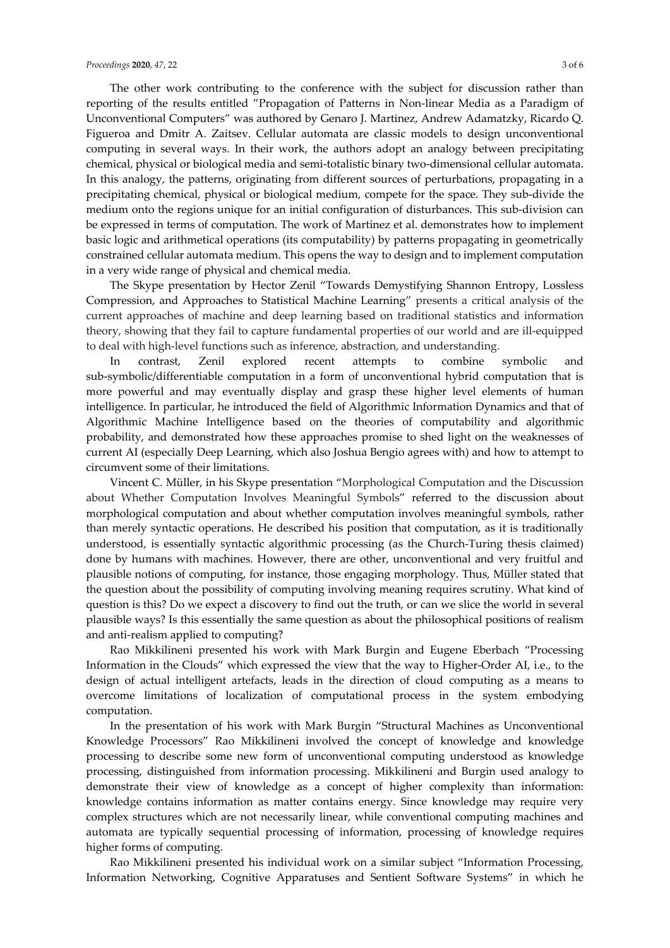The other work contributing to the conference with the subject for discussion rather than reporting of the results entitled "Propagation of Patterns in Non-linear Media as a Paradigm of Unconventional Computers" was authored by Genaro J. Martinez, Andrew Adamatzky, Ricardo Q. Figueroa and Dmitr A. Zaitsev. Cellular automata are classic models to design unconventional computing in several ways. In their work, the authors adopt an analogy between precipitating chemical, physical or biological media and semi-totalistic binary two-dimensional cellular automata. In this analogy, the patterns, originating from different sources of perturbations, propagating in a precipitating chemical, physical or biological medium, compete for the space. They sub-divide the medium onto the regions unique for an initial configuration of disturbances. This sub-division can be expressed in terms of computation. The work of Martinez et al. demonstrates how to implement basic logic and arithmetical operations (its computability) by patterns propagating in geometrically constrained cellular automata medium. This opens the way to design and to implement computation in a very wide range of physical and chemical media.

The Skype presentation by Hector Zenil "Towards Demystifying Shannon Entropy, Lossless Compression, and Approaches to Statistical Machine Learning" presents a critical analysis of the current approaches of machine and deep learning based on traditional statistics and information theory, showing that they fail to capture fundamental properties of our world and are ill-equipped to deal with high-level functions such as inference, abstraction, and understanding.

In contrast, Zenil explored recent attempts to combine symbolic and sub-symbolic/differentiable computation in a form of unconventional hybrid computation that is more powerful and may eventually display and grasp these higher level elements of human intelligence. In particular, he introduced the field of Algorithmic Information Dynamics and that of Algorithmic Machine Intelligence based on the theories of computability and algorithmic probability, and demonstrated how these approaches promise to shed light on the weaknesses of current AI (especially Deep Learning, which also Joshua Bengio agrees with) and how to attempt to circumvent some of their limitations.

Vincent C. Müller, in his Skype presentation "Morphological Computation and the Discussion about Whether Computation Involves Meaningful Symbols" referred to the discussion about morphological computation and about whether computation involves meaningful symbols, rather than merely syntactic operations. He described his position that computation, as it is traditionally understood, is essentially syntactic algorithmic processing (as the Church-Turing thesis claimed) done by humans with machines. However, there are other, unconventional and very fruitful and plausible notions of computing, for instance, those engaging morphology. Thus, Müller stated that the question about the possibility of computing involving meaning requires scrutiny. What kind of question is this? Do we expect a discovery to find out the truth, or can we slice the world in several plausible ways? Is this essentially the same question as about the philosophical positions of realism and anti-realism applied to computing?

Rao Mikkilineni presented his work with Mark Burgin and Eugene Eberbach "Processing Information in the Clouds" which expressed the view that the way to Higher-Order AI, i.e., to the design of actual intelligent artefacts, leads in the direction of cloud computing as a means to overcome limitations of localization of computational process in the system embodying computation.

In the presentation of his work with Mark Burgin "Structural Machines as Unconventional Knowledge Processors" Rao Mikkilineni involved the concept of knowledge and knowledge processing to describe some new form of unconventional computing understood as knowledge processing, distinguished from information processing. Mikkilineni and Burgin used analogy to demonstrate their view of knowledge as a concept of higher complexity than information: knowledge contains information as matter contains energy. Since knowledge may require very complex structures which are not necessarily linear, while conventional computing machines and automata are typically sequential processing of information, processing of knowledge requires higher forms of computing.

Rao Mikkilineni presented his individual work on a similar subject "Information Processing, Information Networking, Cognitive Apparatuses and Sentient Software Systems" in which he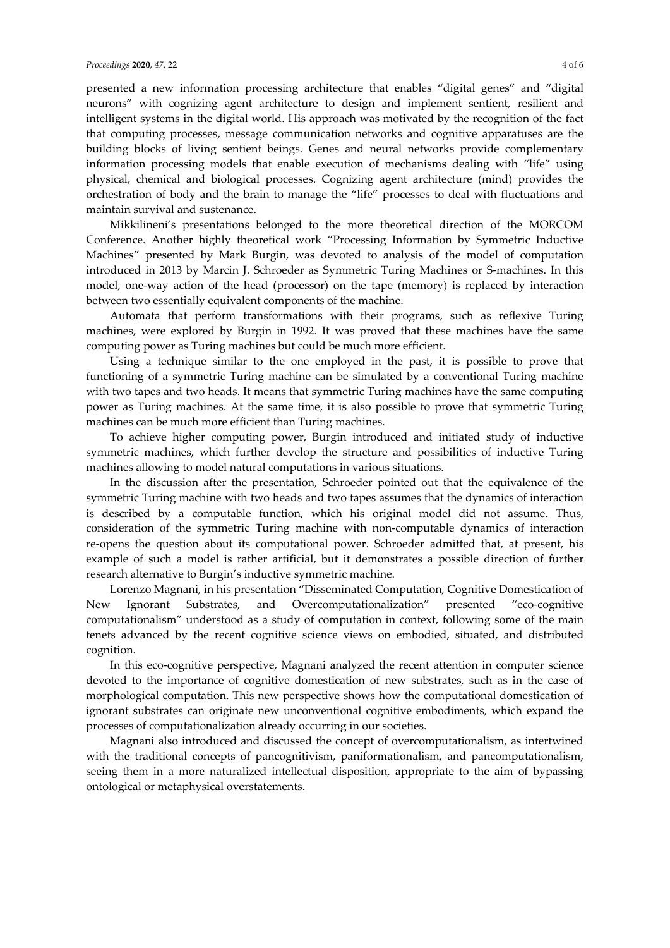#### *Proceedings* **<b>2020**, 47, 22 4 of 6

presented a new information processing architecture that enables "digital genes" and "digital neurons" with cognizing agent architecture to design and implement sentient, resilient and intelligent systems in the digital world. His approach was motivated by the recognition of the fact that computing processes, message communication networks and cognitive apparatuses are the building blocks of living sentient beings. Genes and neural networks provide complementary information processing models that enable execution of mechanisms dealing with "life" using physical, chemical and biological processes. Cognizing agent architecture (mind) provides the orchestration of body and the brain to manage the "life" processes to deal with fluctuations and maintain survival and sustenance.

Mikkilineni's presentations belonged to the more theoretical direction of the MORCOM Conference. Another highly theoretical work "Processing Information by Symmetric Inductive Machines" presented by Mark Burgin, was devoted to analysis of the model of computation introduced in 2013 by Marcin J. Schroeder as Symmetric Turing Machines or S-machines. In this model, one-way action of the head (processor) on the tape (memory) is replaced by interaction between two essentially equivalent components of the machine.

Automata that perform transformations with their programs, such as reflexive Turing machines, were explored by Burgin in 1992. It was proved that these machines have the same computing power as Turing machines but could be much more efficient.

Using a technique similar to the one employed in the past, it is possible to prove that functioning of a symmetric Turing machine can be simulated by a conventional Turing machine with two tapes and two heads. It means that symmetric Turing machines have the same computing power as Turing machines. At the same time, it is also possible to prove that symmetric Turing machines can be much more efficient than Turing machines.

To achieve higher computing power, Burgin introduced and initiated study of inductive symmetric machines, which further develop the structure and possibilities of inductive Turing machines allowing to model natural computations in various situations.

In the discussion after the presentation, Schroeder pointed out that the equivalence of the symmetric Turing machine with two heads and two tapes assumes that the dynamics of interaction is described by a computable function, which his original model did not assume. Thus, consideration of the symmetric Turing machine with non-computable dynamics of interaction re-opens the question about its computational power. Schroeder admitted that, at present, his example of such a model is rather artificial, but it demonstrates a possible direction of further research alternative to Burgin's inductive symmetric machine.

Lorenzo Magnani, in his presentation "Disseminated Computation, Cognitive Domestication of New Ignorant Substrates, and Overcomputationalization" presented "eco-cognitive computationalism" understood as a study of computation in context, following some of the main tenets advanced by the recent cognitive science views on embodied, situated, and distributed cognition.

In this eco-cognitive perspective, Magnani analyzed the recent attention in computer science devoted to the importance of cognitive domestication of new substrates, such as in the case of morphological computation. This new perspective shows how the computational domestication of ignorant substrates can originate new unconventional cognitive embodiments, which expand the processes of computationalization already occurring in our societies.

Magnani also introduced and discussed the concept of overcomputationalism, as intertwined with the traditional concepts of pancognitivism, paniformationalism, and pancomputationalism, seeing them in a more naturalized intellectual disposition, appropriate to the aim of bypassing ontological or metaphysical overstatements.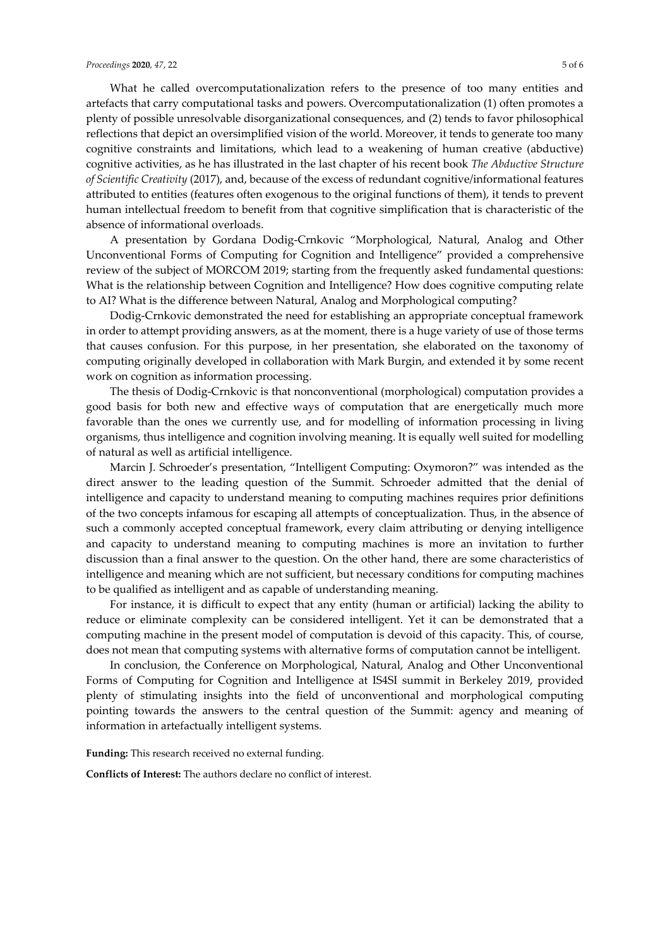#### *Proceedings* **2020**, *47*, 22 5 of 6

What he called overcomputationalization refers to the presence of too many entities and artefacts that carry computational tasks and powers. Overcomputationalization (1) often promotes a plenty of possible unresolvable disorganizational consequences, and (2) tends to favor philosophical reflections that depict an oversimplified vision of the world. Moreover, it tends to generate too many cognitive constraints and limitations, which lead to a weakening of human creative (abductive) cognitive activities, as he has illustrated in the last chapter of his recent book *The Abductive Structure of Scientific Creativity* (2017), and, because of the excess of redundant cognitive/informational features attributed to entities (features often exogenous to the original functions of them), it tends to prevent human intellectual freedom to benefit from that cognitive simplification that is characteristic of the absence of informational overloads.

A presentation by Gordana Dodig-Crnkovic "Morphological, Natural, Analog and Other Unconventional Forms of Computing for Cognition and Intelligence" provided a comprehensive review of the subject of MORCOM 2019; starting from the frequently asked fundamental questions: What is the relationship between Cognition and Intelligence? How does cognitive computing relate to AI? What is the difference between Natural, Analog and Morphological computing?

Dodig-Crnkovic demonstrated the need for establishing an appropriate conceptual framework in order to attempt providing answers, as at the moment, there is a huge variety of use of those terms that causes confusion. For this purpose, in her presentation, she elaborated on the taxonomy of computing originally developed in collaboration with Mark Burgin, and extended it by some recent work on cognition as information processing.

The thesis of Dodig-Crnkovic is that nonconventional (morphological) computation provides a good basis for both new and effective ways of computation that are energetically much more favorable than the ones we currently use, and for modelling of information processing in living organisms, thus intelligence and cognition involving meaning. It is equally well suited for modelling of natural as well as artificial intelligence.

Marcin J. Schroeder's presentation, "Intelligent Computing: Oxymoron?" was intended as the direct answer to the leading question of the Summit. Schroeder admitted that the denial of intelligence and capacity to understand meaning to computing machines requires prior definitions of the two concepts infamous for escaping all attempts of conceptualization. Thus, in the absence of such a commonly accepted conceptual framework, every claim attributing or denying intelligence and capacity to understand meaning to computing machines is more an invitation to further discussion than a final answer to the question. On the other hand, there are some characteristics of intelligence and meaning which are not sufficient, but necessary conditions for computing machines to be qualified as intelligent and as capable of understanding meaning.

For instance, it is difficult to expect that any entity (human or artificial) lacking the ability to reduce or eliminate complexity can be considered intelligent. Yet it can be demonstrated that a computing machine in the present model of computation is devoid of this capacity. This, of course, does not mean that computing systems with alternative forms of computation cannot be intelligent.

In conclusion, the Conference on Morphological, Natural, Analog and Other Unconventional Forms of Computing for Cognition and Intelligence at IS4SI summit in Berkeley 2019, provided plenty of stimulating insights into the field of unconventional and morphological computing pointing towards the answers to the central question of the Summit: agency and meaning of information in artefactually intelligent systems.

**Funding:** This research received no external funding.

**Conflicts of Interest:** The authors declare no conflict of interest.